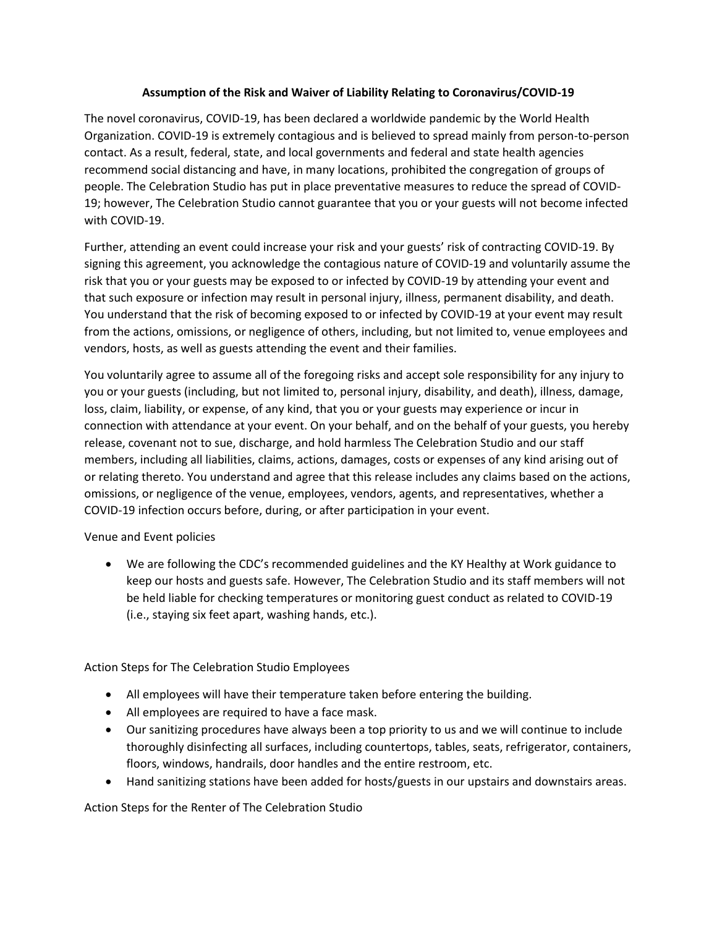## **Assumption of the Risk and Waiver of Liability Relating to Coronavirus/COVID-19**

The novel coronavirus, COVID-19, has been declared a worldwide pandemic by the World Health Organization. COVID-19 is extremely contagious and is believed to spread mainly from person-to-person contact. As a result, federal, state, and local governments and federal and state health agencies recommend social distancing and have, in many locations, prohibited the congregation of groups of people. The Celebration Studio has put in place preventative measures to reduce the spread of COVID-19; however, The Celebration Studio cannot guarantee that you or your guests will not become infected with COVID-19.

Further, attending an event could increase your risk and your guests' risk of contracting COVID-19. By signing this agreement, you acknowledge the contagious nature of COVID-19 and voluntarily assume the risk that you or your guests may be exposed to or infected by COVID-19 by attending your event and that such exposure or infection may result in personal injury, illness, permanent disability, and death. You understand that the risk of becoming exposed to or infected by COVID-19 at your event may result from the actions, omissions, or negligence of others, including, but not limited to, venue employees and vendors, hosts, as well as guests attending the event and their families.

You voluntarily agree to assume all of the foregoing risks and accept sole responsibility for any injury to you or your guests (including, but not limited to, personal injury, disability, and death), illness, damage, loss, claim, liability, or expense, of any kind, that you or your guests may experience or incur in connection with attendance at your event. On your behalf, and on the behalf of your guests, you hereby release, covenant not to sue, discharge, and hold harmless The Celebration Studio and our staff members, including all liabilities, claims, actions, damages, costs or expenses of any kind arising out of or relating thereto. You understand and agree that this release includes any claims based on the actions, omissions, or negligence of the venue, employees, vendors, agents, and representatives, whether a COVID-19 infection occurs before, during, or after participation in your event.

Venue and Event policies

• We are following the CDC's recommended guidelines and the KY Healthy at Work guidance to keep our hosts and guests safe. However, The Celebration Studio and its staff members will not be held liable for checking temperatures or monitoring guest conduct as related to COVID-19 (i.e., staying six feet apart, washing hands, etc.).

Action Steps for The Celebration Studio Employees

- All employees will have their temperature taken before entering the building.
- All employees are required to have a face mask.
- Our sanitizing procedures have always been a top priority to us and we will continue to include thoroughly disinfecting all surfaces, including countertops, tables, seats, refrigerator, containers, floors, windows, handrails, door handles and the entire restroom, etc.
- Hand sanitizing stations have been added for hosts/guests in our upstairs and downstairs areas.

Action Steps for the Renter of The Celebration Studio